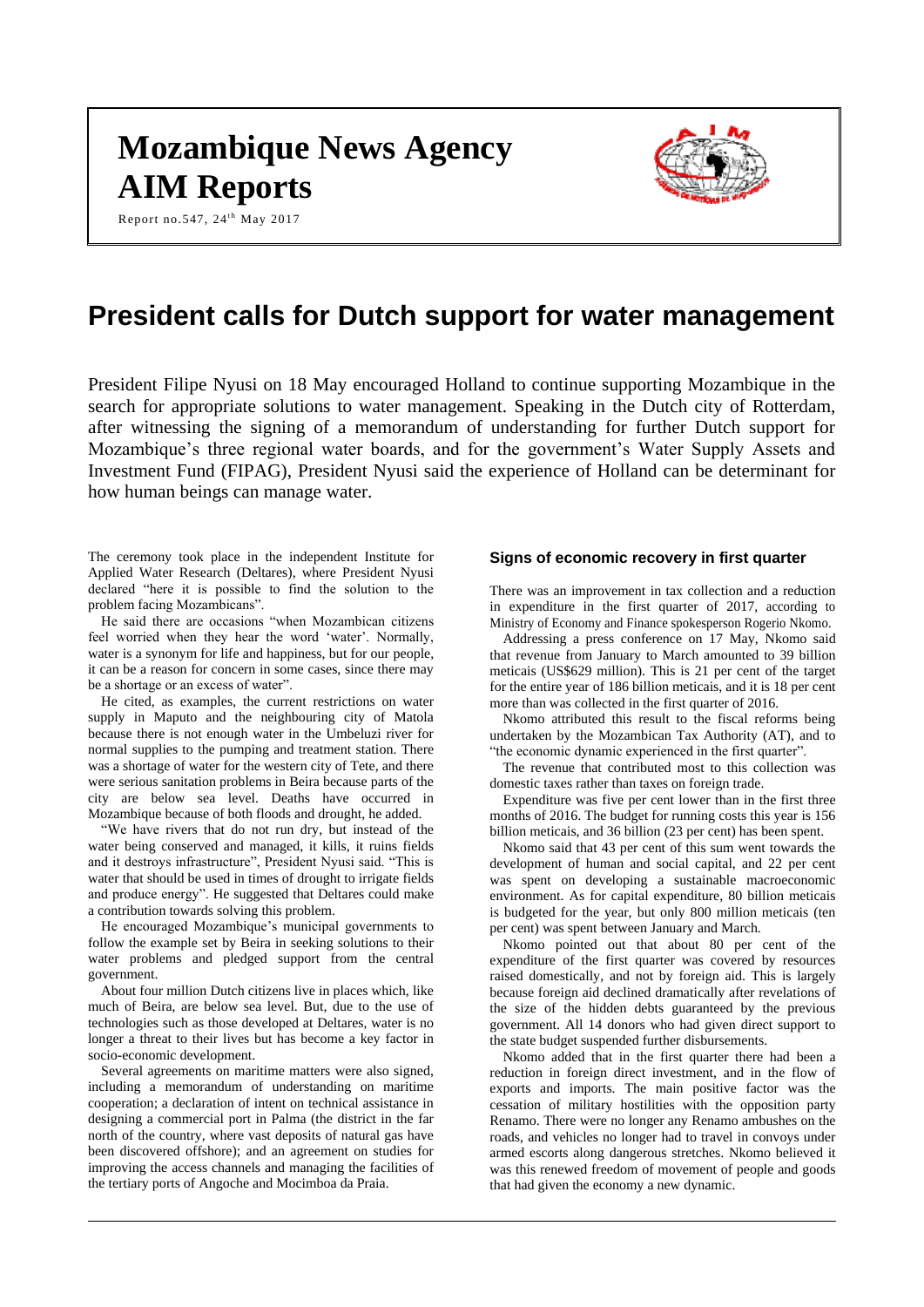# **Mozambique News Agency AIM Reports**



Report no.547, 24<sup>th</sup> May 2017

# **President calls for Dutch support for water management**

President Filipe Nyusi on 18 May encouraged Holland to continue supporting Mozambique in the search for appropriate solutions to water management. Speaking in the Dutch city of Rotterdam, after witnessing the signing of a memorandum of understanding for further Dutch support for Mozambique's three regional water boards, and for the government's Water Supply Assets and Investment Fund (FIPAG), President Nyusi said the experience of Holland can be determinant for how human beings can manage water.

The ceremony took place in the independent Institute for Applied Water Research (Deltares), where President Nyusi declared "here it is possible to find the solution to the problem facing Mozambicans".

He said there are occasions "when Mozambican citizens feel worried when they hear the word 'water'. Normally, water is a synonym for life and happiness, but for our people, it can be a reason for concern in some cases, since there may be a shortage or an excess of water".

He cited, as examples, the current restrictions on water supply in Maputo and the neighbouring city of Matola because there is not enough water in the Umbeluzi river for normal supplies to the pumping and treatment station. There was a shortage of water for the western city of Tete, and there were serious sanitation problems in Beira because parts of the city are below sea level. Deaths have occurred in Mozambique because of both floods and drought, he added.

"We have rivers that do not run dry, but instead of the water being conserved and managed, it kills, it ruins fields and it destroys infrastructure", President Nyusi said. "This is water that should be used in times of drought to irrigate fields and produce energy". He suggested that Deltares could make a contribution towards solving this problem.

He encouraged Mozambique's municipal governments to follow the example set by Beira in seeking solutions to their water problems and pledged support from the central government.

About four million Dutch citizens live in places which, like much of Beira, are below sea level. But, due to the use of technologies such as those developed at Deltares, water is no longer a threat to their lives but has become a key factor in socio-economic development.

Several agreements on maritime matters were also signed, including a memorandum of understanding on maritime cooperation; a declaration of intent on technical assistance in designing a commercial port in Palma (the district in the far north of the country, where vast deposits of natural gas have been discovered offshore); and an agreement on studies for improving the access channels and managing the facilities of the tertiary ports of Angoche and Mocimboa da Praia.

## **Signs of economic recovery in first quarter**

There was an improvement in tax collection and a reduction in expenditure in the first quarter of 2017, according to Ministry of Economy and Finance spokesperson Rogerio Nkomo.

Addressing a press conference on 17 May, Nkomo said that revenue from January to March amounted to 39 billion meticais (US\$629 million). This is 21 per cent of the target for the entire year of 186 billion meticais, and it is 18 per cent more than was collected in the first quarter of 2016.

Nkomo attributed this result to the fiscal reforms being undertaken by the Mozambican Tax Authority (AT), and to "the economic dynamic experienced in the first quarter".

The revenue that contributed most to this collection was domestic taxes rather than taxes on foreign trade.

Expenditure was five per cent lower than in the first three months of 2016. The budget for running costs this year is 156 billion meticais, and 36 billion (23 per cent) has been spent.

Nkomo said that 43 per cent of this sum went towards the development of human and social capital, and 22 per cent was spent on developing a sustainable macroeconomic environment. As for capital expenditure, 80 billion meticais is budgeted for the year, but only 800 million meticais (ten per cent) was spent between January and March.

Nkomo pointed out that about 80 per cent of the expenditure of the first quarter was covered by resources raised domestically, and not by foreign aid. This is largely because foreign aid declined dramatically after revelations of the size of the hidden debts guaranteed by the previous government. All 14 donors who had given direct support to the state budget suspended further disbursements.

Nkomo added that in the first quarter there had been a reduction in foreign direct investment, and in the flow of exports and imports. The main positive factor was the cessation of military hostilities with the opposition party Renamo. There were no longer any Renamo ambushes on the roads, and vehicles no longer had to travel in convoys under armed escorts along dangerous stretches. Nkomo believed it was this renewed freedom of movement of people and goods that had given the economy a new dynamic.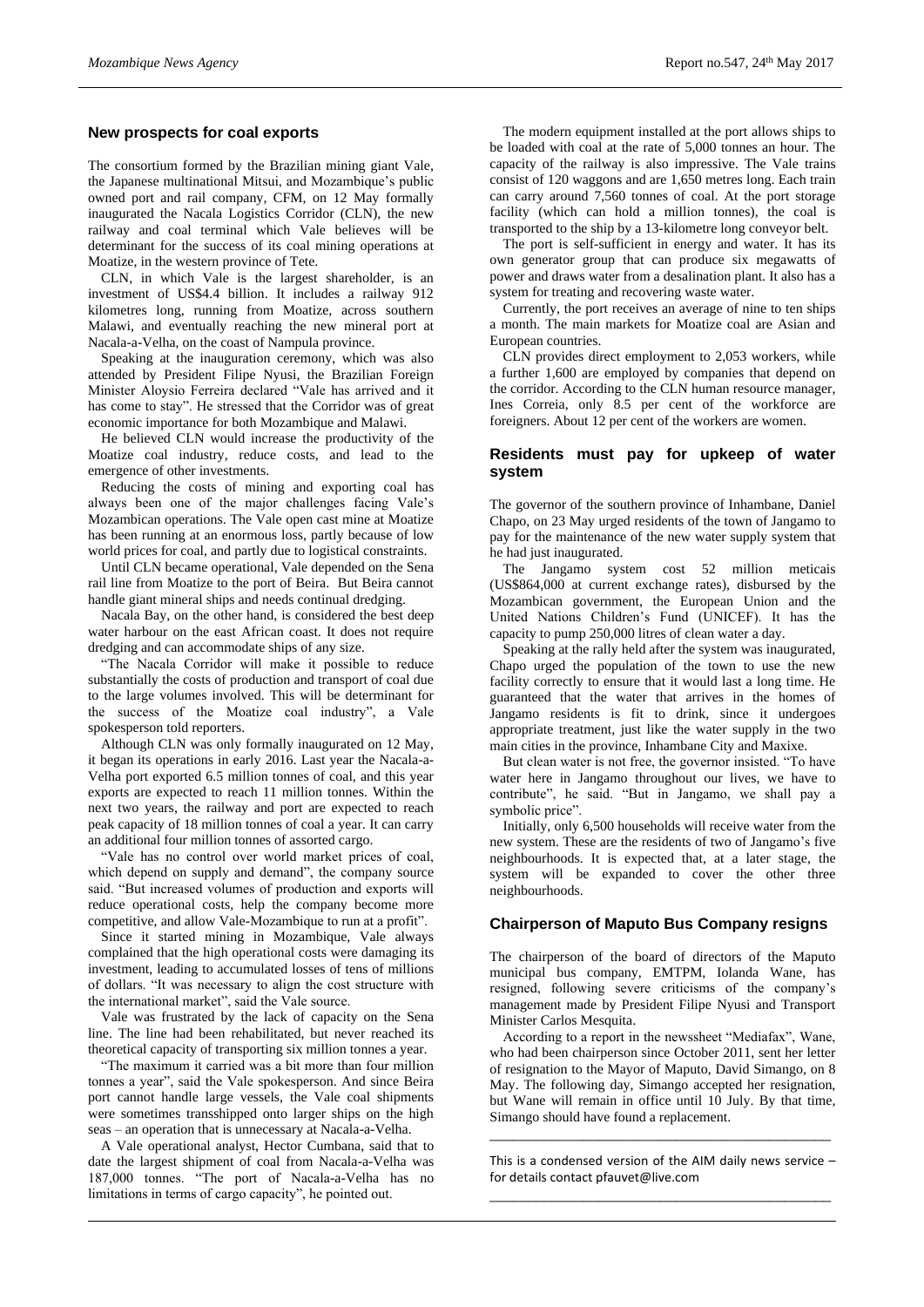#### **New prospects for coal exports**

The consortium formed by the Brazilian mining giant Vale, the Japanese multinational Mitsui, and Mozambique's public owned port and rail company, CFM, on 12 May formally inaugurated the Nacala Logistics Corridor (CLN), the new railway and coal terminal which Vale believes will be determinant for the success of its coal mining operations at Moatize, in the western province of Tete.

CLN, in which Vale is the largest shareholder, is an investment of US\$4.4 billion. It includes a railway 912 kilometres long, running from Moatize, across southern Malawi, and eventually reaching the new mineral port at Nacala-a-Velha, on the coast of Nampula province.

Speaking at the inauguration ceremony, which was also attended by President Filipe Nyusi, the Brazilian Foreign Minister Aloysio Ferreira declared "Vale has arrived and it has come to stay". He stressed that the Corridor was of great economic importance for both Mozambique and Malawi.

He believed CLN would increase the productivity of the Moatize coal industry, reduce costs, and lead to the emergence of other investments.

Reducing the costs of mining and exporting coal has always been one of the major challenges facing Vale's Mozambican operations. The Vale open cast mine at Moatize has been running at an enormous loss, partly because of low world prices for coal, and partly due to logistical constraints.

Until CLN became operational, Vale depended on the Sena rail line from Moatize to the port of Beira. But Beira cannot handle giant mineral ships and needs continual dredging.

Nacala Bay, on the other hand, is considered the best deep water harbour on the east African coast. It does not require dredging and can accommodate ships of any size.

"The Nacala Corridor will make it possible to reduce substantially the costs of production and transport of coal due to the large volumes involved. This will be determinant for the success of the Moatize coal industry", a Vale spokesperson told reporters.

Although CLN was only formally inaugurated on 12 May, it began its operations in early 2016. Last year the Nacala-a-Velha port exported 6.5 million tonnes of coal, and this year exports are expected to reach 11 million tonnes. Within the next two years, the railway and port are expected to reach peak capacity of 18 million tonnes of coal a year. It can carry an additional four million tonnes of assorted cargo.

"Vale has no control over world market prices of coal, which depend on supply and demand", the company source said. "But increased volumes of production and exports will reduce operational costs, help the company become more competitive, and allow Vale-Mozambique to run at a profit".

Since it started mining in Mozambique, Vale always complained that the high operational costs were damaging its investment, leading to accumulated losses of tens of millions of dollars. "It was necessary to align the cost structure with the international market", said the Vale source.

Vale was frustrated by the lack of capacity on the Sena line. The line had been rehabilitated, but never reached its theoretical capacity of transporting six million tonnes a year.

"The maximum it carried was a bit more than four million tonnes a year", said the Vale spokesperson. And since Beira port cannot handle large vessels, the Vale coal shipments were sometimes transshipped onto larger ships on the high seas – an operation that is unnecessary at Nacala-a-Velha.

A Vale operational analyst, Hector Cumbana, said that to date the largest shipment of coal from Nacala-a-Velha was 187,000 tonnes. "The port of Nacala-a-Velha has no limitations in terms of cargo capacity", he pointed out.

The modern equipment installed at the port allows ships to be loaded with coal at the rate of 5,000 tonnes an hour. The capacity of the railway is also impressive. The Vale trains consist of 120 waggons and are 1,650 metres long. Each train can carry around 7,560 tonnes of coal. At the port storage facility (which can hold a million tonnes), the coal is transported to the ship by a 13-kilometre long conveyor belt.

The port is self-sufficient in energy and water. It has its own generator group that can produce six megawatts of power and draws water from a desalination plant. It also has a system for treating and recovering waste water.

Currently, the port receives an average of nine to ten ships a month. The main markets for Moatize coal are Asian and European countries.

CLN provides direct employment to 2,053 workers, while a further 1,600 are employed by companies that depend on the corridor. According to the CLN human resource manager, Ines Correia, only 8.5 per cent of the workforce are foreigners. About 12 per cent of the workers are women.

## **Residents must pay for upkeep of water system**

The governor of the southern province of Inhambane, Daniel Chapo, on 23 May urged residents of the town of Jangamo to pay for the maintenance of the new water supply system that he had just inaugurated.

The Jangamo system cost 52 million meticais (US\$864,000 at current exchange rates), disbursed by the Mozambican government, the European Union and the United Nations Children's Fund (UNICEF). It has the capacity to pump 250,000 litres of clean water a day.

Speaking at the rally held after the system was inaugurated, Chapo urged the population of the town to use the new facility correctly to ensure that it would last a long time. He guaranteed that the water that arrives in the homes of Jangamo residents is fit to drink, since it undergoes appropriate treatment, just like the water supply in the two main cities in the province, Inhambane City and Maxixe.

But clean water is not free, the governor insisted. "To have water here in Jangamo throughout our lives, we have to contribute", he said. "But in Jangamo, we shall pay a symbolic price".

Initially, only 6,500 households will receive water from the new system. These are the residents of two of Jangamo's five neighbourhoods. It is expected that, at a later stage, the system will be expanded to cover the other three neighbourhoods.

# **Chairperson of Maputo Bus Company resigns**

The chairperson of the board of directors of the Maputo municipal bus company, EMTPM, Iolanda Wane, has resigned, following severe criticisms of the company's management made by President Filipe Nyusi and Transport Minister Carlos Mesquita.

According to a report in the newssheet "Mediafax", Wane, who had been chairperson since October 2011, sent her letter of resignation to the Mayor of Maputo, David Simango, on 8 May. The following day, Simango accepted her resignation, but Wane will remain in office until 10 July. By that time, Simango should have found a replacement.

This is a condensed version of the AIM daily news service – for details contact [pfauvet@live.com](mailto:pfauvet@live.com) \_\_\_\_\_\_\_\_\_\_\_\_\_\_\_\_\_\_\_\_\_\_\_\_\_\_\_\_\_\_\_\_\_\_\_\_\_\_\_\_\_\_\_\_

\_\_\_\_\_\_\_\_\_\_\_\_\_\_\_\_\_\_\_\_\_\_\_\_\_\_\_\_\_\_\_\_\_\_\_\_\_\_\_\_\_\_\_\_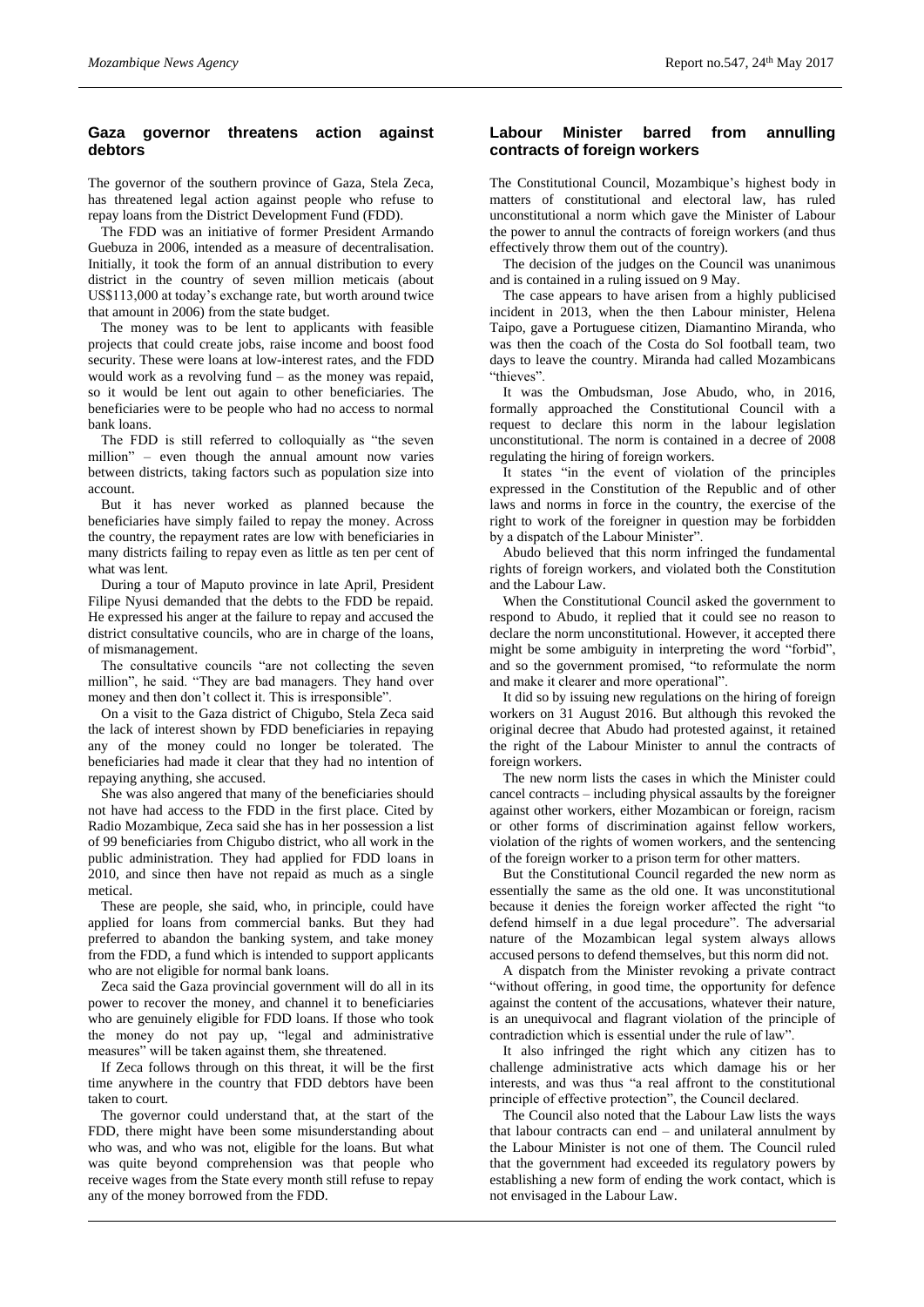# **Gaza governor threatens action against debtors**

The governor of the southern province of Gaza, Stela Zeca, has threatened legal action against people who refuse to repay loans from the District Development Fund (FDD).

The FDD was an initiative of former President Armando Guebuza in 2006, intended as a measure of decentralisation. Initially, it took the form of an annual distribution to every district in the country of seven million meticais (about US\$113,000 at today's exchange rate, but worth around twice that amount in 2006) from the state budget.

The money was to be lent to applicants with feasible projects that could create jobs, raise income and boost food security. These were loans at low-interest rates, and the FDD would work as a revolving fund – as the money was repaid, so it would be lent out again to other beneficiaries. The beneficiaries were to be people who had no access to normal bank loans.

The FDD is still referred to colloquially as "the seven million" – even though the annual amount now varies between districts, taking factors such as population size into account.

But it has never worked as planned because the beneficiaries have simply failed to repay the money. Across the country, the repayment rates are low with beneficiaries in many districts failing to repay even as little as ten per cent of what was lent.

During a tour of Maputo province in late April, President Filipe Nyusi demanded that the debts to the FDD be repaid. He expressed his anger at the failure to repay and accused the district consultative councils, who are in charge of the loans, of mismanagement.

The consultative councils "are not collecting the seven million", he said. "They are bad managers. They hand over money and then don't collect it. This is irresponsible".

On a visit to the Gaza district of Chigubo, Stela Zeca said the lack of interest shown by FDD beneficiaries in repaying any of the money could no longer be tolerated. The beneficiaries had made it clear that they had no intention of repaying anything, she accused.

She was also angered that many of the beneficiaries should not have had access to the FDD in the first place. Cited by Radio Mozambique, Zeca said she has in her possession a list of 99 beneficiaries from Chigubo district, who all work in the public administration. They had applied for FDD loans in 2010, and since then have not repaid as much as a single metical.

These are people, she said, who, in principle, could have applied for loans from commercial banks. But they had preferred to abandon the banking system, and take money from the FDD, a fund which is intended to support applicants who are not eligible for normal bank loans.

Zeca said the Gaza provincial government will do all in its power to recover the money, and channel it to beneficiaries who are genuinely eligible for FDD loans. If those who took the money do not pay up, "legal and administrative measures" will be taken against them, she threatened.

If Zeca follows through on this threat, it will be the first time anywhere in the country that FDD debtors have been taken to court.

The governor could understand that, at the start of the FDD, there might have been some misunderstanding about who was, and who was not, eligible for the loans. But what was quite beyond comprehension was that people who receive wages from the State every month still refuse to repay any of the money borrowed from the FDD.

# **Labour Minister barred from annulling contracts of foreign workers**

The Constitutional Council, Mozambique's highest body in matters of constitutional and electoral law, has ruled unconstitutional a norm which gave the Minister of Labour the power to annul the contracts of foreign workers (and thus effectively throw them out of the country).

The decision of the judges on the Council was unanimous and is contained in a ruling issued on 9 May.

The case appears to have arisen from a highly publicised incident in 2013, when the then Labour minister, Helena Taipo, gave a Portuguese citizen, Diamantino Miranda, who was then the coach of the Costa do Sol football team, two days to leave the country. Miranda had called Mozambicans "thieves".

It was the Ombudsman, Jose Abudo, who, in 2016, formally approached the Constitutional Council with a request to declare this norm in the labour legislation unconstitutional. The norm is contained in a decree of 2008 regulating the hiring of foreign workers.

It states "in the event of violation of the principles expressed in the Constitution of the Republic and of other laws and norms in force in the country, the exercise of the right to work of the foreigner in question may be forbidden by a dispatch of the Labour Minister".

Abudo believed that this norm infringed the fundamental rights of foreign workers, and violated both the Constitution and the Labour Law.

When the Constitutional Council asked the government to respond to Abudo, it replied that it could see no reason to declare the norm unconstitutional. However, it accepted there might be some ambiguity in interpreting the word "forbid", and so the government promised, "to reformulate the norm and make it clearer and more operational".

It did so by issuing new regulations on the hiring of foreign workers on 31 August 2016. But although this revoked the original decree that Abudo had protested against, it retained the right of the Labour Minister to annul the contracts of foreign workers.

The new norm lists the cases in which the Minister could cancel contracts – including physical assaults by the foreigner against other workers, either Mozambican or foreign, racism or other forms of discrimination against fellow workers, violation of the rights of women workers, and the sentencing of the foreign worker to a prison term for other matters.

But the Constitutional Council regarded the new norm as essentially the same as the old one. It was unconstitutional because it denies the foreign worker affected the right "to defend himself in a due legal procedure". The adversarial nature of the Mozambican legal system always allows accused persons to defend themselves, but this norm did not.

A dispatch from the Minister revoking a private contract "without offering, in good time, the opportunity for defence against the content of the accusations, whatever their nature, is an unequivocal and flagrant violation of the principle of contradiction which is essential under the rule of law".

It also infringed the right which any citizen has to challenge administrative acts which damage his or her interests, and was thus "a real affront to the constitutional principle of effective protection", the Council declared.

The Council also noted that the Labour Law lists the ways that labour contracts can end – and unilateral annulment by the Labour Minister is not one of them. The Council ruled that the government had exceeded its regulatory powers by establishing a new form of ending the work contact, which is not envisaged in the Labour Law.